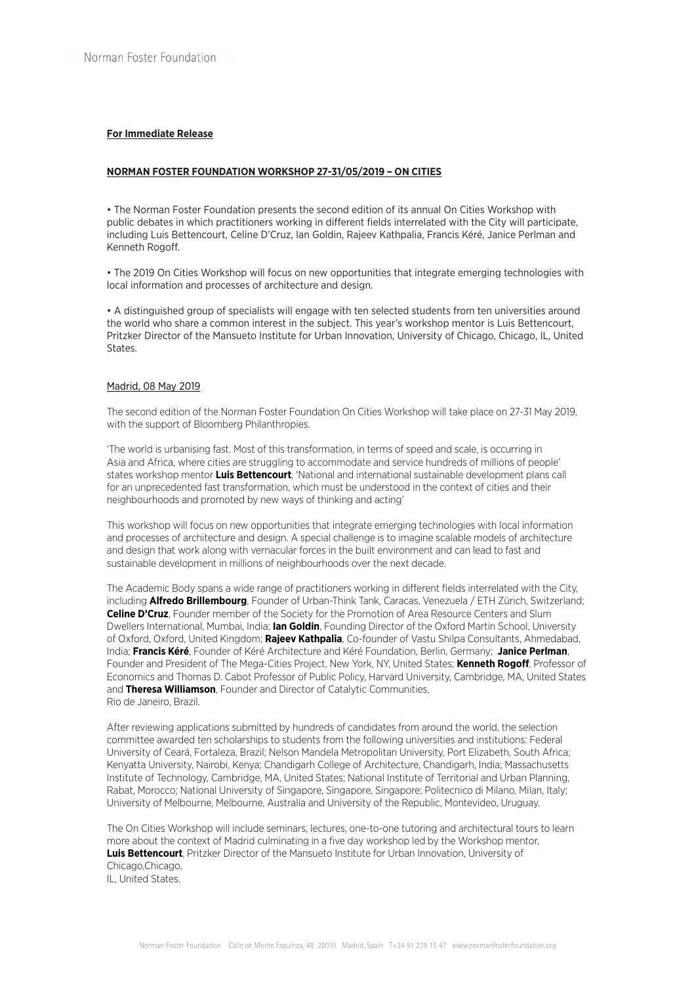## **For Immediate Release**

## **NORMAN FOSTER FOUNDATION WORKSHOP 27-31/05/2019 – ON CITIES**

• The Norman Foster Foundation presents the second edition of its annual On Cities Workshop with public debates in which practitioners working in different fields interrelated with the City will participate, including Luis Bettencourt, Celine D'Cruz, Ian Goldin, Rajeev Kathpalia, Francis Kéré, Janice Perlman and Kenneth Rogoff.

• The 2019 On Cities Workshop will focus on new opportunities that integrate emerging technologies with local information and processes of architecture and design.

• A distinguished group of specialists will engage with ten selected students from ten universities around the world who share a common interest in the subject. This year's workshop mentor is Luis Bettencourt, Pritzker Director of the Mansueto Institute for Urban Innovation, University of Chicago, Chicago, IL, United States.

#### Madrid, 08 May 2019

The second edition of the Norman Foster Foundation On Cities Workshop will take place on 27-31 May 2019, with the support of Bloomberg Philanthropies.

'The world is urbanising fast. Most of this transformation, in terms of speed and scale, is occurring in Asia and Africa, where cities are struggling to accommodate and service hundreds of millions of people' states workshop mentor **Luis Bettencourt**, 'National and international sustainable development plans call for an unprecedented fast transformation, which must be understood in the context of cities and their neighbourhoods and promoted by new ways of thinking and acting'

This workshop will focus on new opportunities that integrate emerging technologies with local information and processes of architecture and design. A special challenge is to imagine scalable models of architecture and design that work along with vernacular forces in the built environment and can lead to fast and sustainable development in millions of neighbourhoods over the next decade.

The Academic Body spans a wide range of practitioners working in different fields interrelated with the City, including **Alfredo Brillembourg**, Founder of Urban-Think Tank, Caracas, Venezuela / ETH Zürich, Switzerland; **Celine D'Cruz**, Founder member of the Society for the Promotion of Area Resource Centers and Slum Dwellers International, Mumbai, India; **Ian Goldin**, Founding Director of the Oxford Martin School, University of Oxford, Oxford, United Kingdom; **Rajeev Kathpalia**, Co-founder of Vastu Shilpa Consultants, Ahmedabad, India; **Francis Kéré**, Founder of Kéré Architecture and Kéré Foundation, Berlin, Germany; **Janice Perlman**, Founder and President of The Mega-Cities Project, New York, NY, United States; **Kenneth Rogoff**, Professor of Economics and Thomas D. Cabot Professor of Public Policy, Harvard University, Cambridge, MA, United States and **Theresa Williamson**, Founder and Director of Catalytic Communities, Rio de Janeiro, Brazil.

After reviewing applications submitted by hundreds of candidates from around the world, the selection committee awarded ten scholarships to students from the following universities and institutions: Federal University of Ceará, Fortaleza, Brazil; Nelson Mandela Metropolitan University, Port Elizabeth, South Africa; Kenyatta University, Nairobi, Kenya; Chandigarh College of Architecture, Chandigarh, India; Massachusetts Institute of Technology, Cambridge, MA, United States; National Institute of Territorial and Urban Planning, Rabat, Morocco; National University of Singapore, Singapore, Singapore; Politecnico di Milano, Milan, Italy; University of Melbourne, Melbourne, Australia and University of the Republic, Montevideo, Uruguay.

The On Cities Workshop will include seminars, lectures, one-to-one tutoring and architectural tours to learn more about the context of Madrid culminating in a five day workshop led by the Workshop mentor, **Luis Bettencourt**, Pritzker Director of the Mansueto Institute for Urban Innovation, University of Chicago,Chicago, IL, United States.